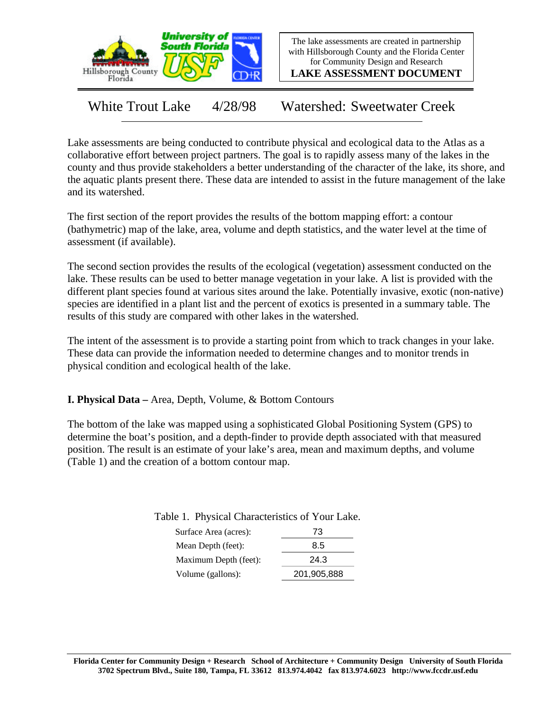

The lake assessments are created in partnership with Hillsborough County and the Florida Center for Community Design and Research

**LAKE ASSESSMENT DOCUMENT**

White Trout Lake 4/28/98 Watershed: Sweetwater Creek

Lake assessments are being conducted to contribute physical and ecological data to the Atlas as a collaborative effort between project partners. The goal is to rapidly assess many of the lakes in the county and thus provide stakeholders a better understanding of the character of the lake, its shore, and the aquatic plants present there. These data are intended to assist in the future management of the lake and its watershed.

The first section of the report provides the results of the bottom mapping effort: a contour (bathymetric) map of the lake, area, volume and depth statistics, and the water level at the time of assessment (if available).

The second section provides the results of the ecological (vegetation) assessment conducted on the lake. These results can be used to better manage vegetation in your lake. A list is provided with the different plant species found at various sites around the lake. Potentially invasive, exotic (non-native) species are identified in a plant list and the percent of exotics is presented in a summary table. The results of this study are compared with other lakes in the watershed.

The intent of the assessment is to provide a starting point from which to track changes in your lake. These data can provide the information needed to determine changes and to monitor trends in physical condition and ecological health of the lake.

**I. Physical Data –** Area, Depth, Volume, & Bottom Contours

The bottom of the lake was mapped using a sophisticated Global Positioning System (GPS) to determine the boat's position, and a depth-finder to provide depth associated with that measured position. The result is an estimate of your lake's area, mean and maximum depths, and volume (Table 1) and the creation of a bottom contour map.

| Surface Area (acres): | 73   |
|-----------------------|------|
| Mean Depth (feet):    | 8.5  |
| Maximum Depth (feet): | 24.3 |

Volume (gallons): 201,905,888

Table 1. Physical Characteristics of Your Lake.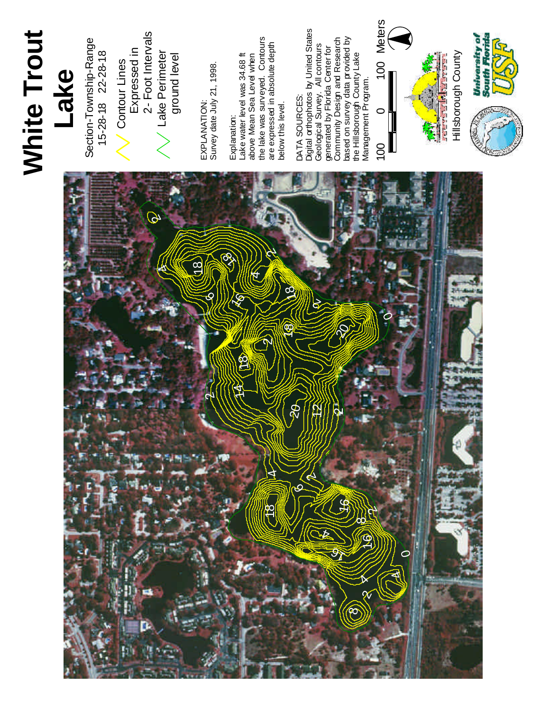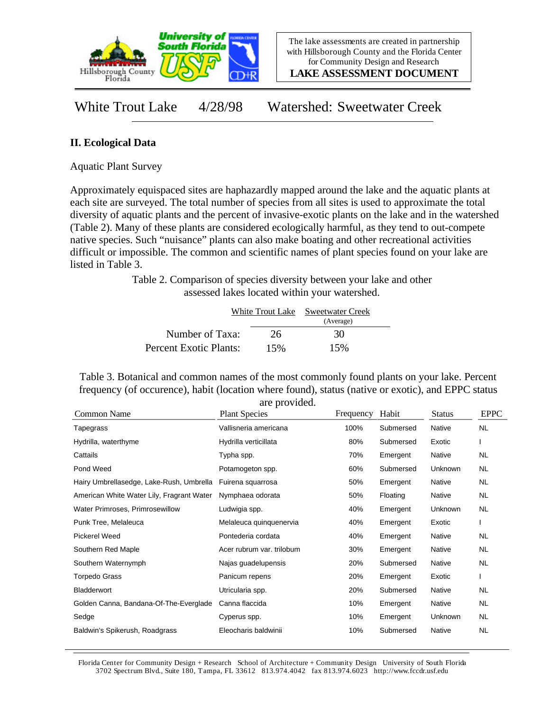

**LAKE ASSESSMENT DOCUMENT**

White Trout Lake 4/28/98 Watershed: Sweetwater Creek

## **II. Ecological Data**

Aquatic Plant Survey

Approximately equispaced sites are haphazardly mapped around the lake and the aquatic plants at each site are surveyed. The total number of species from all sites is used to approximate the total diversity of aquatic plants and the percent of invasive-exotic plants on the lake and in the watershed (Table 2). Many of these plants are considered ecologically harmful, as they tend to out-compete native species. Such "nuisance" plants can also make boating and other recreational activities difficult or impossible. The common and scientific names of plant species found on your lake are listed in Table 3.

> Table 2. Comparison of species diversity between your lake and other assessed lakes located within your watershed.

|                        |     | White Trout Lake Sweetwater Creek |  |
|------------------------|-----|-----------------------------------|--|
|                        |     | (Average)                         |  |
| Number of Taxa:        | 26  | 30                                |  |
| Percent Exotic Plants: | 15% | 15%                               |  |

Table 3. Botanical and common names of the most commonly found plants on your lake. Percent frequency (of occurence), habit (location where found), status (native or exotic), and EPPC status are provided.

| are provided.                             |                           |           |           |               |             |  |
|-------------------------------------------|---------------------------|-----------|-----------|---------------|-------------|--|
| Common Name                               | <b>Plant Species</b>      | Frequency | Habit     | <b>Status</b> | <b>EPPC</b> |  |
| Tapegrass                                 | Vallisneria americana     | 100%      | Submersed | Native        | NL.         |  |
| Hydrilla, waterthyme                      | Hydrilla verticillata     | 80%       | Submersed | Exotic        |             |  |
| Cattails                                  | Typha spp.                | 70%       | Emergent  | Native        | NL.         |  |
| Pond Weed                                 | Potamogeton spp.          | 60%       | Submersed | Unknown       | NL.         |  |
| Hairy Umbrellasedge, Lake-Rush, Umbrella  | Fuirena squarrosa         | 50%       | Emergent  | Native        | NL          |  |
| American White Water Lily, Fragrant Water | Nymphaea odorata          | 50%       | Floating  | Native        | NL.         |  |
| Water Primroses, Primrosewillow           | Ludwigia spp.             | 40%       | Emergent  | Unknown       | NL.         |  |
| Punk Tree, Melaleuca                      | Melaleuca quinquenervia   | 40%       | Emergent  | Exotic        |             |  |
| Pickerel Weed                             | Pontederia cordata        | 40%       | Emergent  | Native        | <b>NL</b>   |  |
| Southern Red Maple                        | Acer rubrum var. trilobum | 30%       | Emergent  | Native        | NL.         |  |
| Southern Waternymph                       | Najas guadelupensis       | 20%       | Submersed | Native        | <b>NL</b>   |  |
| <b>Torpedo Grass</b>                      | Panicum repens            | 20%       | Emergent  | Exotic        |             |  |
| <b>Bladderwort</b>                        | Utricularia spp.          | 20%       | Submersed | Native        | NL.         |  |
| Golden Canna, Bandana-Of-The-Everglade    | Canna flaccida            | 10%       | Emergent  | Native        | NL.         |  |
| Sedge                                     | Cyperus spp.              | 10%       | Emergent  | Unknown       | NL.         |  |
| Baldwin's Spikerush, Roadgrass            | Eleocharis baldwinii      | 10%       | Submersed | Native        | NL          |  |

Florida Center for Community Design + Research School of Architecture + Community Design University of South Florida 3702 Spectrum Blvd., Suite 180, Tampa, FL 33612 813.974.4042 fax 813.974.6023 http://www.fccdr.usf.edu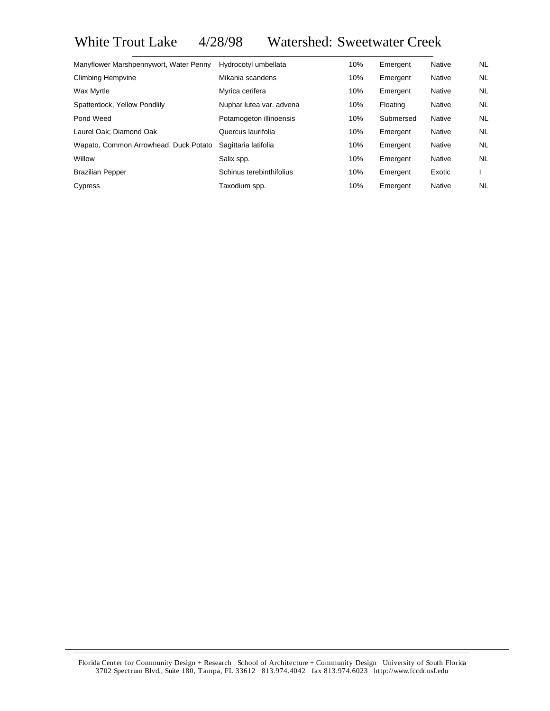White Trout Lake 4/28/98 Watershed: Sweetwater Creek

| Manyflower Marshpennywort, Water Penny | Hydrocotyl umbellata     | 10% | Emergent  | Native        | NL.       |
|----------------------------------------|--------------------------|-----|-----------|---------------|-----------|
| <b>Climbing Hempvine</b>               | Mikania scandens         | 10% | Emergent  | Native        | NL        |
| Wax Myrtle                             | Myrica cerifera          | 10% | Emergent  | Native        | NL.       |
| Spatterdock, Yellow Pondlily           | Nuphar lutea var. advena | 10% | Floating  | <b>Native</b> | NL        |
| Pond Weed                              | Potamogeton illinoensis  | 10% | Submersed | Native        | NL        |
| Laurel Oak; Diamond Oak                | Quercus laurifolia       | 10% | Emergent  | Native        | <b>NL</b> |
| Wapato, Common Arrowhead, Duck Potato  | Sagittaria latifolia     | 10% | Emergent  | Native        | NL        |
| Willow                                 | Salix spp.               | 10% | Emergent  | Native        | <b>NL</b> |
| <b>Brazilian Pepper</b>                | Schinus terebinthifolius | 10% | Emergent  | Exotic        |           |
| Cypress                                | Taxodium spp.            | 10% | Emergent  | Native        | NL        |

Florida Center for Community Design + Research School of Architecture + Community Design University of South Florida 3702 Spectrum Blvd., Suite 180, Tampa, FL 33612 813.974.4042 fax 813.974.6023 http://www.fccdr.usf.edu